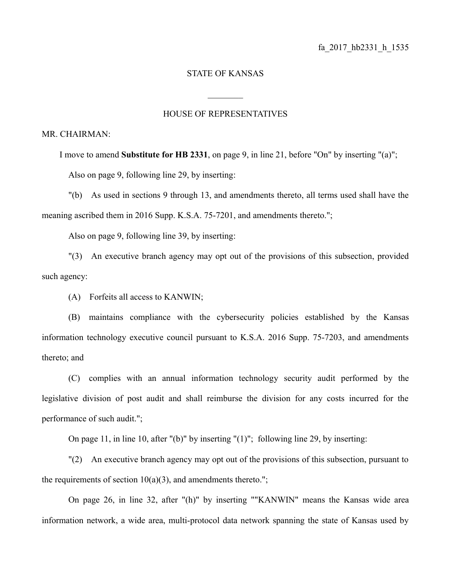## STATE OF KANSAS

## HOUSE OF REPRESENTATIVES

 $\mathcal{L}_\text{max}$ 

## MR. CHAIRMAN:

I move to amend **Substitute for HB 2331**, on page 9, in line 21, before "On" by inserting "(a)"; Also on page 9, following line 29, by inserting:

"(b) As used in sections 9 through 13, and amendments thereto, all terms used shall have the meaning ascribed them in 2016 Supp. K.S.A. 75-7201, and amendments thereto.";

Also on page 9, following line 39, by inserting:

"(3) An executive branch agency may opt out of the provisions of this subsection, provided such agency:

(A) Forfeits all access to KANWIN;

(B) maintains compliance with the cybersecurity policies established by the Kansas information technology executive council pursuant to K.S.A. 2016 Supp. 75-7203, and amendments thereto; and

(C) complies with an annual information technology security audit performed by the legislative division of post audit and shall reimburse the division for any costs incurred for the performance of such audit.";

On page 11, in line 10, after "(b)" by inserting "(1)"; following line 29, by inserting:

"(2) An executive branch agency may opt out of the provisions of this subsection, pursuant to the requirements of section  $10(a)(3)$ , and amendments thereto.";

On page 26, in line 32, after "(h)" by inserting ""KANWIN" means the Kansas wide area information network, a wide area, multi-protocol data network spanning the state of Kansas used by